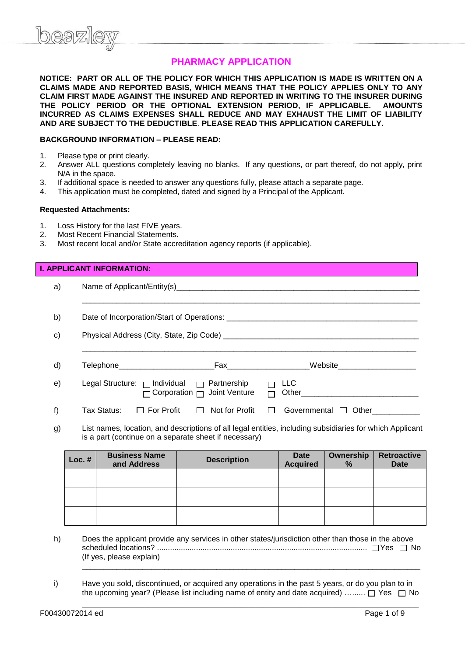# **PHARMACY APPLICATION**

**NOTICE: PART OR ALL OF THE POLICY FOR WHICH THIS APPLICATION IS MADE IS WRITTEN ON A CLAIMS MADE AND REPORTED BASIS, WHICH MEANS THAT THE POLICY APPLIES ONLY TO ANY CLAIM FIRST MADE AGAINST THE INSURED AND REPORTED IN WRITING TO THE INSURER DURING THE POLICY PERIOD OR THE OPTIONAL EXTENSION PERIOD, IF APPLICABLE. AMOUNTS INCURRED AS CLAIMS EXPENSES SHALL REDUCE AND MAY EXHAUST THE LIMIT OF LIABILITY AND ARE SUBJECT TO THE DEDUCTIBLE**. **PLEASE READ THIS APPLICATION CAREFULLY.**

#### **BACKGROUND INFORMATION – PLEASE READ:**

- 1. Please type or print clearly.
- 2. Answer ALL questions completely leaving no blanks. If any questions, or part thereof, do not apply, print N/A in the space.
- 3. If additional space is needed to answer any questions fully, please attach a separate page.
- 4. This application must be completed, dated and signed by a Principal of the Applicant.

#### **Requested Attachments:**

- 1. Loss History for the last FIVE years.
- 2. Most Recent Financial Statements.
- 3. Most recent local and/or State accreditation agency reports (if applicable).

## **I. APPLICANT INFORMATION:**

| a) |                                                       |                                                                                                                                                                                                                                |                                      |  |  |  |  |  |  |  |  |
|----|-------------------------------------------------------|--------------------------------------------------------------------------------------------------------------------------------------------------------------------------------------------------------------------------------|--------------------------------------|--|--|--|--|--|--|--|--|
| b) |                                                       |                                                                                                                                                                                                                                |                                      |  |  |  |  |  |  |  |  |
| C) |                                                       |                                                                                                                                                                                                                                |                                      |  |  |  |  |  |  |  |  |
| d) | Telephone____________________________                 | Fax and the contract of the contract of the contract of the contract of the contract of the contract of the contract of the contract of the contract of the contract of the contract of the contract of the contract of the co | Website ___________________          |  |  |  |  |  |  |  |  |
| e) | Legal Structure: $\Box$ Individual $\Box$ Partnership | $\Box$ Corporation $\Box$ Joint Venture                                                                                                                                                                                        | <b>LLC</b>                           |  |  |  |  |  |  |  |  |
| f) | Tax Status:                                           | $\Box$ For Profit $\Box$ Not for Profit                                                                                                                                                                                        | Governmental □ Other<br>$\mathbf{1}$ |  |  |  |  |  |  |  |  |

g) List names, location, and descriptions of all legal entities, including subsidiaries for which Applicant is a part (continue on a separate sheet if necessary)

| Loc. $#$ | <b>Business Name</b><br>and Address | <b>Description</b> | <b>Date</b><br><b>Acquired</b> | Ownership<br>$\%$ | <b>Retroactive</b><br><b>Date</b> |
|----------|-------------------------------------|--------------------|--------------------------------|-------------------|-----------------------------------|
|          |                                     |                    |                                |                   |                                   |
|          |                                     |                    |                                |                   |                                   |
|          |                                     |                    |                                |                   |                                   |

h) Does the applicant provide any services in other states/jurisdiction other than those in the above scheduled locations? ................................................................................................. Yes No (If yes, please explain)

\_\_\_\_\_\_\_\_\_\_\_\_\_\_\_\_\_\_\_\_\_\_\_\_\_\_\_\_\_\_\_\_\_\_\_\_\_\_\_\_\_\_\_\_\_\_\_\_\_\_\_\_\_\_\_\_\_\_\_\_\_\_\_\_\_\_\_\_\_\_\_\_\_\_\_\_\_\_

 $\_$  ,  $\_$  ,  $\_$  ,  $\_$  ,  $\_$  ,  $\_$  ,  $\_$  ,  $\_$  ,  $\_$  ,  $\_$  ,  $\_$  ,  $\_$  ,  $\_$  ,  $\_$  ,  $\_$  ,  $\_$  ,  $\_$  ,  $\_$  ,  $\_$  ,  $\_$  ,  $\_$  ,  $\_$  ,  $\_$  ,  $\_$  ,  $\_$  ,  $\_$  ,  $\_$  ,  $\_$  ,  $\_$  ,  $\_$  ,  $\_$  ,  $\_$  ,  $\_$  ,  $\_$  ,  $\_$  ,  $\_$  ,  $\_$  ,

i) Have you sold, discontinued, or acquired any operations in the past 5 years, or do you plan to in the upcoming year? (Please list including name of entity and date acquired) …......  $\Box$  Yes  $\Box$  No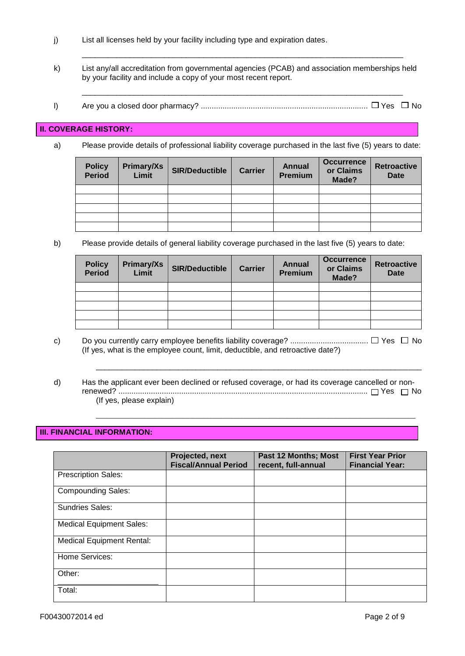- j) List all licenses held by your facility including type and expiration dates.
- k) List any/all accreditation from governmental agencies (PCAB) and association memberships held by your facility and include a copy of your most recent report.

\_\_\_\_\_\_\_\_\_\_\_\_\_\_\_\_\_\_\_\_\_\_\_\_\_\_\_\_\_\_\_\_\_\_\_\_\_\_\_\_\_\_\_\_\_\_\_\_\_\_\_\_\_\_\_\_\_\_\_\_\_\_\_\_\_\_\_\_\_\_\_\_\_\_

l) Are you a closed door pharmacy? ............................................................................. Yes No

\_\_\_\_\_\_\_\_\_\_\_\_\_\_\_\_\_\_\_\_\_\_\_\_\_\_\_\_\_\_\_\_\_\_\_\_\_\_\_\_\_\_\_\_\_\_\_\_\_\_\_\_\_\_\_\_\_\_\_\_\_\_\_\_\_\_\_\_\_\_\_\_\_\_

#### **II. COVERAGE HISTORY:**

a) Please provide details of professional liability coverage purchased in the last five (5) years to date:

| <b>Policy</b><br><b>Period</b> | Primary/Xs<br>Limit | <b>SIR/Deductible</b> | <b>Carrier</b> | <b>Annual</b><br><b>Premium</b> | <b>Occurrence</b><br>or Claims<br>Made? | <b>Retroactive</b><br><b>Date</b> |
|--------------------------------|---------------------|-----------------------|----------------|---------------------------------|-----------------------------------------|-----------------------------------|
|                                |                     |                       |                |                                 |                                         |                                   |
|                                |                     |                       |                |                                 |                                         |                                   |
|                                |                     |                       |                |                                 |                                         |                                   |
|                                |                     |                       |                |                                 |                                         |                                   |
|                                |                     |                       |                |                                 |                                         |                                   |

b) Please provide details of general liability coverage purchased in the last five (5) years to date:

| <b>Policy</b><br><b>Period</b> | Primary/Xs<br>Limit | <b>SIR/Deductible</b> | <b>Carrier</b> | <b>Annual</b><br><b>Premium</b> | <b>Occurrence</b><br>or Claims<br>Made? | <b>Retroactive</b><br><b>Date</b> |
|--------------------------------|---------------------|-----------------------|----------------|---------------------------------|-----------------------------------------|-----------------------------------|
|                                |                     |                       |                |                                 |                                         |                                   |
|                                |                     |                       |                |                                 |                                         |                                   |
|                                |                     |                       |                |                                 |                                         |                                   |
|                                |                     |                       |                |                                 |                                         |                                   |
|                                |                     |                       |                |                                 |                                         |                                   |

c) Do you currently carry employee benefits liability coverage? .................................... Yes No (If yes, what is the employee count, limit, deductible, and retroactive date?)

\_\_\_\_\_\_\_\_\_\_\_\_\_\_\_\_\_\_\_\_\_\_\_\_\_\_\_\_\_\_\_\_\_\_\_\_\_\_\_\_\_\_\_\_\_\_\_\_\_\_\_\_\_\_\_\_\_\_\_\_\_\_\_\_\_\_\_\_\_\_\_\_\_\_\_

 $\_$  ,  $\_$  ,  $\_$  ,  $\_$  ,  $\_$  ,  $\_$  ,  $\_$  ,  $\_$  ,  $\_$  ,  $\_$  ,  $\_$  ,  $\_$  ,  $\_$  ,  $\_$  ,  $\_$  ,  $\_$  ,  $\_$  ,  $\_$  ,  $\_$  ,  $\_$  ,  $\_$  ,  $\_$  ,  $\_$  ,  $\_$  ,  $\_$  ,  $\_$  ,  $\_$  ,  $\_$  ,  $\_$  ,  $\_$  ,  $\_$  ,  $\_$  ,  $\_$  ,  $\_$  ,  $\_$  ,  $\_$  ,  $\_$  ,

d) Has the applicant ever been declined or refused coverage, or had its coverage cancelled or nonrenewed? ................................................................................................................... Yes No (If yes, please explain)

## **III. FINANCIAL INFORMATION:**

|                                  | Projected, next<br><b>Fiscal/Annual Period</b> | <b>Past 12 Months; Most</b><br>recent, full-annual | <b>First Year Prior</b><br><b>Financial Year:</b> |
|----------------------------------|------------------------------------------------|----------------------------------------------------|---------------------------------------------------|
| <b>Prescription Sales:</b>       |                                                |                                                    |                                                   |
| <b>Compounding Sales:</b>        |                                                |                                                    |                                                   |
| <b>Sundries Sales:</b>           |                                                |                                                    |                                                   |
| <b>Medical Equipment Sales:</b>  |                                                |                                                    |                                                   |
| <b>Medical Equipment Rental:</b> |                                                |                                                    |                                                   |
| Home Services:                   |                                                |                                                    |                                                   |
| Other:                           |                                                |                                                    |                                                   |
| Total:                           |                                                |                                                    |                                                   |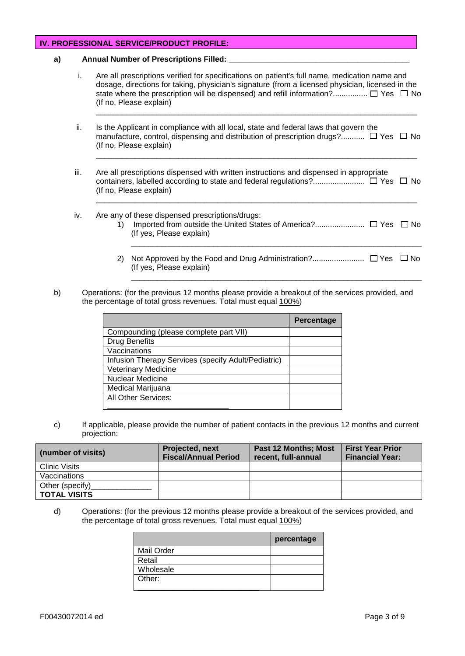## **IV. PROFESSIONAL SERVICE/PRODUCT PROFILE:**

#### a) Annual Number of Prescriptions Filled:

i. Are all prescriptions verified for specifications on patient's full name, medication name and dosage, directions for taking, physician's signature (from a licensed physician, licensed in the state where the prescription will be dispensed) and refill information?.................  $\Box$  Yes  $\Box$  No (If no, Please explain)

\_\_\_\_\_\_\_\_\_\_\_\_\_\_\_\_\_\_\_\_\_\_\_\_\_\_\_\_\_\_\_\_\_\_\_\_\_\_\_\_\_\_\_\_\_\_\_\_\_\_\_\_\_\_\_\_\_\_\_\_\_\_\_\_\_\_\_\_\_\_\_\_\_\_

\_\_\_\_\_\_\_\_\_\_\_\_\_\_\_\_\_\_\_\_\_\_\_\_\_\_\_\_\_\_\_\_\_\_\_\_\_\_\_\_\_\_\_\_\_\_\_\_\_\_\_\_\_\_\_\_\_\_\_\_\_\_\_\_\_\_\_\_\_\_\_\_\_\_

\_\_\_\_\_\_\_\_\_\_\_\_\_\_\_\_\_\_\_\_\_\_\_\_\_\_\_\_\_\_\_\_\_\_\_\_\_\_\_\_\_\_\_\_\_\_\_\_\_\_\_\_\_\_\_\_\_\_\_\_\_\_\_\_\_\_\_\_\_\_\_\_\_\_

- ii. Is the Applicant in compliance with all local, state and federal laws that govern the manufacture, control, dispensing and distribution of prescription drugs?...........  $\Box$  Yes  $\Box$  No (If no, Please explain)
- iii. Are all prescriptions dispensed with written instructions and dispensed in appropriate containers, labelled according to state and federal regulations?........................ Yes No (If no, Please explain)
- iv. Are any of these dispensed prescriptions/drugs: 1) Imported from outside the United States of America?....................... Yes No (If yes, Please explain)  $\_$  ,  $\_$  ,  $\_$  ,  $\_$  ,  $\_$  ,  $\_$  ,  $\_$  ,  $\_$  ,  $\_$  ,  $\_$  ,  $\_$  ,  $\_$  ,  $\_$  ,  $\_$  ,  $\_$  ,  $\_$  ,  $\_$  ,  $\_$  ,  $\_$  ,  $\_$  ,  $\_$  ,  $\_$  ,  $\_$  ,  $\_$  ,  $\_$  ,  $\_$  ,  $\_$  ,  $\_$  ,  $\_$  ,  $\_$  ,  $\_$  ,  $\_$  ,  $\_$  ,  $\_$  ,  $\_$  ,  $\_$  ,  $\_$  ,
	- 2) Not Approved by the Food and Drug Administration?........................ Yes No (If yes, Please explain) \_\_\_\_\_\_\_\_\_\_\_\_\_\_\_\_\_\_\_\_\_\_\_\_\_\_\_\_\_\_\_\_\_\_\_\_\_\_\_\_\_\_\_\_\_\_\_\_\_\_\_\_\_\_\_\_\_\_\_\_\_\_\_\_\_\_\_
- b) Operations: (for the previous 12 months please provide a breakout of the services provided, and the percentage of total gross revenues. Total must equal 100%)

|                                                     | Percentage |
|-----------------------------------------------------|------------|
| Compounding (please complete part VII)              |            |
| <b>Drug Benefits</b>                                |            |
| Vaccinations                                        |            |
| Infusion Therapy Services (specify Adult/Pediatric) |            |
| <b>Veterinary Medicine</b>                          |            |
| <b>Nuclear Medicine</b>                             |            |
| Medical Marijuana                                   |            |
| All Other Services:                                 |            |
|                                                     |            |

c) If applicable, please provide the number of patient contacts in the previous 12 months and current projection:

| (number of visits) | <b>Projected, next</b><br><b>Fiscal/Annual Period</b> | <b>Past 12 Months; Most</b><br>recent, full-annual | <b>First Year Prior</b><br><b>Financial Year:</b> |
|--------------------|-------------------------------------------------------|----------------------------------------------------|---------------------------------------------------|
| Clinic Visits      |                                                       |                                                    |                                                   |
| Vaccinations       |                                                       |                                                    |                                                   |
| Other (specify)    |                                                       |                                                    |                                                   |
| TOTAL VISITS       |                                                       |                                                    |                                                   |

d) Operations: (for the previous 12 months please provide a breakout of the services provided, and the percentage of total gross revenues. Total must equal 100%)

|            | percentage |
|------------|------------|
| Mail Order |            |
| Retail     |            |
| Wholesale  |            |
| Other:     |            |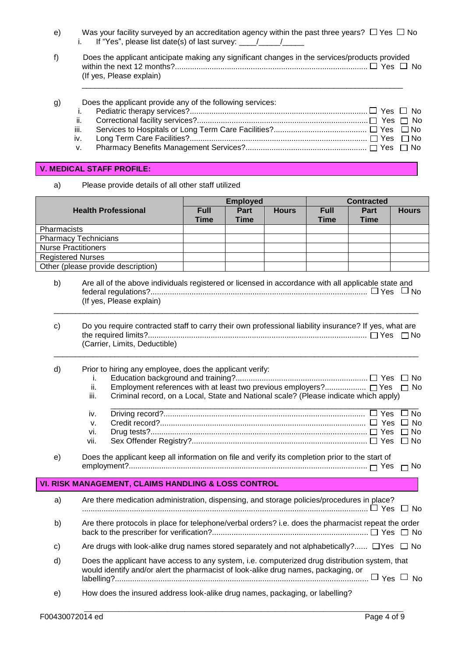- e) Was your facility surveyed by an accreditation agency within the past three years?  $\Box$  Yes  $\Box$  No i. If "Yes", please list date(s) of last survey:  $\frac{1}{\sqrt{2}}$
- f) Does the applicant anticipate making any significant changes in the services/products provided within the next 12 months?......................................................................................... Yes No (If yes, Please explain)

\_\_\_\_\_\_\_\_\_\_\_\_\_\_\_\_\_\_\_\_\_\_\_\_\_\_\_\_\_\_\_\_\_\_\_\_\_\_\_\_\_\_\_\_\_\_\_\_\_\_\_\_\_\_\_\_\_\_\_\_\_\_\_\_\_\_\_\_\_\_\_\_\_\_

| g) | Does the applicant provide any of the following services: |  |
|----|-----------------------------------------------------------|--|
|    |                                                           |  |

## **V. MEDICAL STAFF PROFILE:**

a) Please provide details of all other staff utilized

|                            |                                                                                                       |             | <b>Employed</b> |              |             | <b>Contracted</b> |              |  |
|----------------------------|-------------------------------------------------------------------------------------------------------|-------------|-----------------|--------------|-------------|-------------------|--------------|--|
| <b>Health Professional</b> |                                                                                                       | <b>Full</b> | <b>Part</b>     | <b>Hours</b> | <b>Full</b> | Part              | <b>Hours</b> |  |
|                            |                                                                                                       | <b>Time</b> | <b>Time</b>     |              | <b>Time</b> | <b>Time</b>       |              |  |
| Pharmacists                |                                                                                                       |             |                 |              |             |                   |              |  |
|                            | <b>Pharmacy Technicians</b><br><b>Nurse Practitioners</b>                                             |             |                 |              |             |                   |              |  |
|                            | <b>Registered Nurses</b>                                                                              |             |                 |              |             |                   |              |  |
|                            | Other (please provide description)                                                                    |             |                 |              |             |                   |              |  |
|                            |                                                                                                       |             |                 |              |             |                   |              |  |
| b)                         | Are all of the above individuals registered or licensed in accordance with all applicable state and   |             |                 |              |             |                   |              |  |
|                            |                                                                                                       |             |                 |              |             |                   |              |  |
|                            | (If yes, Please explain)                                                                              |             |                 |              |             |                   |              |  |
|                            |                                                                                                       |             |                 |              |             |                   |              |  |
| c)                         | Do you require contracted staff to carry their own professional liability insurance? If yes, what are |             |                 |              |             |                   |              |  |
|                            |                                                                                                       |             |                 |              |             |                   |              |  |
|                            | (Carrier, Limits, Deductible)                                                                         |             |                 |              |             |                   |              |  |
|                            |                                                                                                       |             |                 |              |             |                   |              |  |
| d)                         | Prior to hiring any employee, does the applicant verify:                                              |             |                 |              |             |                   |              |  |
|                            | i.<br>Employment references with at least two previous employers? □ Yes □ No<br>ii.                   |             |                 |              |             |                   |              |  |
|                            | iii.<br>Criminal record, on a Local, State and National scale? (Please indicate which apply)          |             |                 |              |             |                   |              |  |
|                            |                                                                                                       |             |                 |              |             |                   |              |  |
|                            | iv.                                                                                                   |             |                 |              |             |                   | $\Box$ No    |  |
|                            | v.                                                                                                    |             |                 |              |             |                   | $\Box$ No    |  |
|                            | vi.                                                                                                   |             |                 |              |             |                   | $\Box$ No    |  |
|                            | vii.                                                                                                  |             |                 |              |             |                   | $\Box$ No    |  |
| e)                         | Does the applicant keep all information on file and verify its completion prior to the start of       |             |                 |              |             |                   |              |  |
|                            |                                                                                                       |             |                 |              |             |                   | $\Box$ No    |  |
|                            | VI. RISK MANAGEMENT, CLAIMS HANDLING & LOSS CONTROL                                                   |             |                 |              |             |                   |              |  |
|                            |                                                                                                       |             |                 |              |             |                   |              |  |
| a)                         | Are there medication administration, dispensing, and storage policies/procedures in place?            |             |                 |              |             |                   |              |  |
|                            |                                                                                                       |             |                 |              |             |                   |              |  |
| b)                         | Are there protocols in place for telephone/verbal orders? i.e. does the pharmacist repeat the order   |             |                 |              |             |                   |              |  |
|                            |                                                                                                       |             |                 |              |             |                   |              |  |
| c)                         | Are drugs with look-alike drug names stored separately and not alphabetically? $\Box$ Yes $\Box$ No   |             |                 |              |             |                   |              |  |
| d)                         | Does the applicant have access to any system, i.e. computerized drug distribution system, that        |             |                 |              |             |                   |              |  |
|                            | would identify and/or alert the pharmacist of look-alike drug names, packaging, or                    |             |                 |              |             |                   |              |  |
|                            |                                                                                                       |             |                 |              |             |                   |              |  |
| e)                         | How does the insured address look-alike drug names, packaging, or labelling?                          |             |                 |              |             |                   |              |  |

 $\_$  ,  $\_$  ,  $\_$  ,  $\_$  ,  $\_$  ,  $\_$  ,  $\_$  ,  $\_$  ,  $\_$  ,  $\_$  ,  $\_$  ,  $\_$  ,  $\_$  ,  $\_$  ,  $\_$  ,  $\_$  ,  $\_$  ,  $\_$  ,  $\_$  ,  $\_$  ,  $\_$  ,  $\_$  ,  $\_$  ,  $\_$  ,  $\_$  ,  $\_$  ,  $\_$  ,  $\_$  ,  $\_$  ,  $\_$  ,  $\_$  ,  $\_$  ,  $\_$  ,  $\_$  ,  $\_$  ,  $\_$  ,  $\_$  ,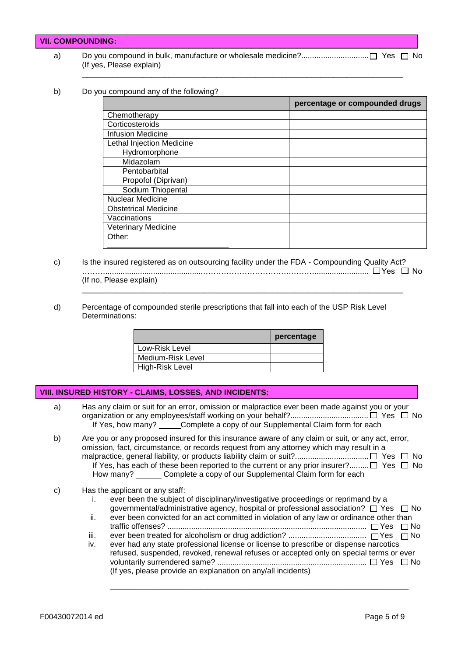|    | VII. COMPOUNDING: I      |  |
|----|--------------------------|--|
| a) | (If yes, Please explain) |  |

## b) Do you compound any of the following?

|                                  | percentage or compounded drugs |
|----------------------------------|--------------------------------|
| Chemotherapy                     |                                |
| Corticosteroids                  |                                |
| <b>Infusion Medicine</b>         |                                |
| <b>Lethal Injection Medicine</b> |                                |
| Hydromorphone                    |                                |
| Midazolam                        |                                |
| Pentobarbital                    |                                |
| Propofol (Diprivan)              |                                |
| Sodium Thiopental                |                                |
| Nuclear Medicine                 |                                |
| <b>Obstetrical Medicine</b>      |                                |
| Vaccinations                     |                                |
| <b>Veterinary Medicine</b>       |                                |
| Other:                           |                                |
|                                  |                                |

- c) Is the insured registered as on outsourcing facility under the FDA Compounding Quality Act? ……….............................................…………………………….………......................... Yes No (If no, Please explain) \_\_\_\_\_\_\_\_\_\_\_\_\_\_\_\_\_\_\_\_\_\_\_\_\_\_\_\_\_\_\_\_\_\_\_\_\_\_\_\_\_\_\_\_\_\_\_\_\_\_\_\_\_\_\_\_\_\_\_\_\_\_\_\_\_\_\_\_\_\_\_\_\_\_
- d) Percentage of compounded sterile prescriptions that fall into each of the USP Risk Level Determinations:

|                   | percentage |
|-------------------|------------|
| Low-Risk Level    |            |
| Medium-Risk Level |            |
| High-Risk Level   |            |

| VIII. INSURED HISTORY - CLAIMS, LOSSES, AND INCIDENTS: |                                                                                                                                                                                                                                                                                                                                                                                                                                                                                                                                                                                                                |  |
|--------------------------------------------------------|----------------------------------------------------------------------------------------------------------------------------------------------------------------------------------------------------------------------------------------------------------------------------------------------------------------------------------------------------------------------------------------------------------------------------------------------------------------------------------------------------------------------------------------------------------------------------------------------------------------|--|
| a)                                                     | Has any claim or suit for an error, omission or malpractice ever been made against you or your<br>If Yes, how many? _____ Complete a copy of our Supplemental Claim form for each                                                                                                                                                                                                                                                                                                                                                                                                                              |  |
| b)                                                     | Are you or any proposed insured for this insurance aware of any claim or suit, or any act, error,<br>omission, fact, circumstance, or records request from any attorney which may result in a<br>If Yes, has each of these been reported to the current or any prior insurer?□ Yes □ No<br>How many? Complete a copy of our Supplemental Claim form for each                                                                                                                                                                                                                                                   |  |
| C)                                                     | Has the applicant or any staff:<br>ever been the subject of disciplinary/investigative proceedings or reprimand by a<br>L.<br>governmental/administrative agency, hospital or professional association? $\Box$ Yes $\Box$ No<br>ever been convicted for an act committed in violation of any law or ordinance other than<br>ii.<br>$\Box$ No<br>iii.<br>ever had any state professional license or license to prescribe or dispense narcotics<br>iv.<br>refused, suspended, revoked, renewal refuses or accepted only on special terms or ever<br>(If yes, please provide an explanation on any/all incidents) |  |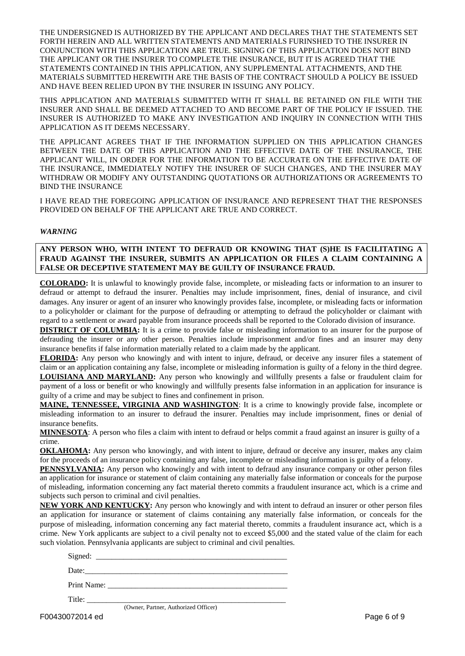THE UNDERSIGNED IS AUTHORIZED BY THE APPLICANT AND DECLARES THAT THE STATEMENTS SET FORTH HEREIN AND ALL WRITTEN STATEMENTS AND MATERIALS FURINSHED TO THE INSURER IN CONJUNCTION WITH THIS APPLICATION ARE TRUE. SIGNING OF THIS APPLICATION DOES NOT BIND THE APPLICANT OR THE INSURER TO COMPLETE THE INSURANCE, BUT IT IS AGREED THAT THE STATEMENTS CONTAINED IN THIS APPLICATION, ANY SUPPLEMENTAL ATTACHMENTS, AND THE MATERIALS SUBMITTED HEREWITH ARE THE BASIS OF THE CONTRACT SHOULD A POLICY BE ISSUED AND HAVE BEEN RELIED UPON BY THE INSURER IN ISSUING ANY POLICY.

THIS APPLICATION AND MATERIALS SUBMITTED WITH IT SHALL BE RETAINED ON FILE WITH THE INSURER AND SHALL BE DEEMED ATTACHED TO AND BECOME PART OF THE POLICY IF ISSUED. THE INSURER IS AUTHORIZED TO MAKE ANY INVESTIGATION AND INQUIRY IN CONNECTION WITH THIS APPLICATION AS IT DEEMS NECESSARY.

THE APPLICANT AGREES THAT IF THE INFORMATION SUPPLIED ON THIS APPLICATION CHANGES BETWEEN THE DATE OF THIS APPLICATION AND THE EFFECTIVE DATE OF THE INSURANCE, THE APPLICANT WILL, IN ORDER FOR THE INFORMATION TO BE ACCURATE ON THE EFFECTIVE DATE OF THE INSURANCE, IMMEDIATELY NOTIFY THE INSURER OF SUCH CHANGES, AND THE INSURER MAY WITHDRAW OR MODIFY ANY OUTSTANDING QUOTATIONS OR AUTHORIZATIONS OR AGREEMENTS TO BIND THE INSURANCE

I HAVE READ THE FOREGOING APPLICATION OF INSURANCE AND REPRESENT THAT THE RESPONSES PROVIDED ON BEHALF OF THE APPLICANT ARE TRUE AND CORRECT.

#### *WARNING*

### **ANY PERSON WHO, WITH INTENT TO DEFRAUD OR KNOWING THAT (S)HE IS FACILITATING A FRAUD AGAINST THE INSURER, SUBMITS AN APPLICATION OR FILES A CLAIM CONTAINING A FALSE OR DECEPTIVE STATEMENT MAY BE GUILTY OF INSURANCE FRAUD.**

**COLORADO:** It is unlawful to knowingly provide false, incomplete, or misleading facts or information to an insurer to defraud or attempt to defraud the insurer. Penalties may include imprisonment, fines, denial of insurance, and civil damages. Any insurer or agent of an insurer who knowingly provides false, incomplete, or misleading facts or information to a policyholder or claimant for the purpose of defrauding or attempting to defraud the policyholder or claimant with regard to a settlement or award payable from insurance proceeds shall be reported to the Colorado division of insurance.

**DISTRICT OF COLUMBIA:** It is a crime to provide false or misleading information to an insurer for the purpose of defrauding the insurer or any other person. Penalties include imprisonment and/or fines and an insurer may deny insurance benefits if false information materially related to a claim made by the applicant.

**FLORIDA:** Any person who knowingly and with intent to injure, defraud, or deceive any insurer files a statement of claim or an application containing any false, incomplete or misleading information is guilty of a felony in the third degree. **LOUISIANA AND MARYLAND:** Any person who knowingly and willfully presents a false or fraudulent claim for payment of a loss or benefit or who knowingly and willfully presents false information in an application for insurance is guilty of a crime and may be subject to fines and confinement in prison.

**MAINE, TENNESSEE, VIRGINIA AND WASHINGTON**: It is a crime to knowingly provide false, incomplete or misleading information to an insurer to defraud the insurer. Penalties may include imprisonment, fines or denial of insurance benefits.

**MINNESOTA**: A person who files a claim with intent to defraud or helps commit a fraud against an insurer is guilty of a crime.

**OKLAHOMA:** Any person who knowingly, and with intent to injure, defraud or deceive any insurer, makes any claim for the proceeds of an insurance policy containing any false, incomplete or misleading information is guilty of a felony.

**PENNSYLVANIA:** Any person who knowingly and with intent to defraud any insurance company or other person files an application for insurance or statement of claim containing any materially false information or conceals for the purpose of misleading, information concerning any fact material thereto commits a fraudulent insurance act, which is a crime and subjects such person to criminal and civil penalties.

**NEW YORK AND KENTUCKY:** Any person who knowingly and with intent to defraud an insurer or other person files an application for insurance or statement of claims containing any materially false information, or conceals for the purpose of misleading, information concerning any fact material thereto, commits a fraudulent insurance act, which is a crime. New York applicants are subject to a civil penalty not to exceed \$5,000 and the stated value of the claim for each such violation. Pennsylvania applicants are subject to criminal and civil penalties.

| Date: $\frac{1}{2}$ Date: $\frac{1}{2}$ $\frac{1}{2}$ $\frac{1}{2}$ $\frac{1}{2}$ $\frac{1}{2}$ $\frac{1}{2}$ $\frac{1}{2}$ $\frac{1}{2}$ $\frac{1}{2}$ $\frac{1}{2}$ $\frac{1}{2}$ $\frac{1}{2}$ $\frac{1}{2}$ $\frac{1}{2}$ $\frac{1}{2}$ $\frac{1}{2}$ $\frac{1}{2}$ $\frac{1}{2}$ $\frac{1}{2}$ $\frac{1}{2}$ |
|-------------------------------------------------------------------------------------------------------------------------------------------------------------------------------------------------------------------------------------------------------------------------------------------------------------------|
| Print Name: 2008. Expanding the Manuscript Name:                                                                                                                                                                                                                                                                  |
|                                                                                                                                                                                                                                                                                                                   |
| (Owner, Partner, Authorized Officer)                                                                                                                                                                                                                                                                              |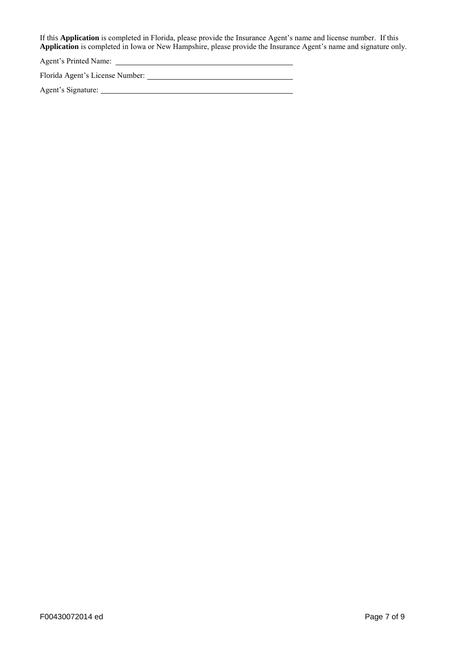If this **Application** is completed in Florida, please provide the Insurance Agent's name and license number. If this **Application** is completed in Iowa or New Hampshire, please provide the Insurance Agent's name and signature only.

Agent's Printed Name:

Florida Agent's License Number:

Agent's Signature: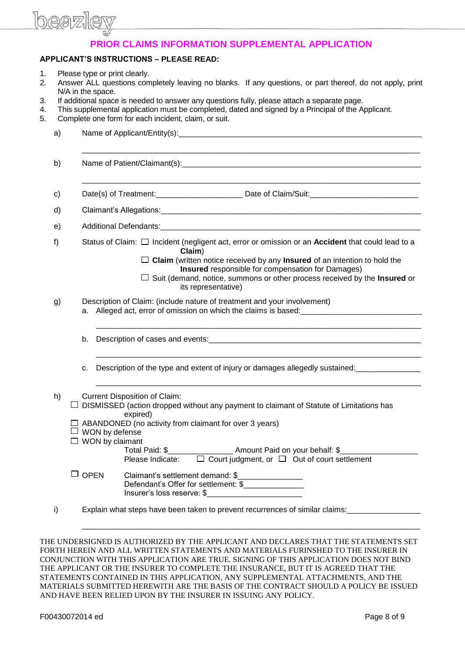

## **PRIOR CLAIMS INFORMATION SUPPLEMENTAL APPLICATION**

### **APPLICANT'S INSTRUCTIONS – PLEASE READ:**

- 1. Please type or print clearly.
- 2. Answer ALL questions completely leaving no blanks. If any questions, or part thereof, do not apply, print N/A in the space.
- 3. If additional space is needed to answer any questions fully, please attach a separate page.
- 4. This supplemental application must be completed, dated and signed by a Principal of the Applicant.
- 5. Complete one form for each incident, claim, or suit.

| a) |                                                                                                                                                                                                                                                                                                                                                                                                                                             |
|----|---------------------------------------------------------------------------------------------------------------------------------------------------------------------------------------------------------------------------------------------------------------------------------------------------------------------------------------------------------------------------------------------------------------------------------------------|
| b) |                                                                                                                                                                                                                                                                                                                                                                                                                                             |
| c) |                                                                                                                                                                                                                                                                                                                                                                                                                                             |
| d) |                                                                                                                                                                                                                                                                                                                                                                                                                                             |
| e) |                                                                                                                                                                                                                                                                                                                                                                                                                                             |
| f) | Status of Claim: □ Incident (negligent act, error or omission or an Accident that could lead to a<br>Claim)<br>$\Box$ Claim (written notice received by any Insured of an intention to hold the<br>Insured responsible for compensation for Damages)<br>$\Box$ Suit (demand, notice, summons or other process received by the Insured or<br>its representative)                                                                             |
| g) | Description of Claim: (include nature of treatment and your involvement)<br>a. Alleged act, error of omission on which the claims is based:                                                                                                                                                                                                                                                                                                 |
|    |                                                                                                                                                                                                                                                                                                                                                                                                                                             |
|    | Description of the type and extent of injury or damages allegedly sustained:<br>c.                                                                                                                                                                                                                                                                                                                                                          |
| h) | <b>Current Disposition of Claim:</b><br>$\Box$ DISMISSED (action dropped without any payment to claimant of Statute of Limitations has<br>expired)<br>$\Box$ ABANDONED (no activity from claimant for over 3 years)<br>$\Box$ WON by defense<br>$\Box$ WON by claimant<br>Total Paid: \$______________________ Amount Paid on your behalf: \$___________<br>Please Indicate: $\square$ Court judgment, or $\square$ Out of court settlement |
|    | $\Box$ OPEN<br>Claimant's settlement demand: \$<br>Defendant's Offer for settlement: \$<br>Insurer's loss reserve: \$                                                                                                                                                                                                                                                                                                                       |
| i) | Explain what steps have been taken to prevent recurrences of similar claims:                                                                                                                                                                                                                                                                                                                                                                |

THE UNDERSIGNED IS AUTHORIZED BY THE APPLICANT AND DECLARES THAT THE STATEMENTS SET FORTH HEREIN AND ALL WRITTEN STATEMENTS AND MATERIALS FURINSHED TO THE INSURER IN CONJUNCTION WITH THIS APPLICATION ARE TRUE. SIGNING OF THIS APPLICATION DOES NOT BIND THE APPLICANT OR THE INSURER TO COMPLETE THE INSURANCE, BUT IT IS AGREED THAT THE STATEMENTS CONTAINED IN THIS APPLICATION, ANY SUPPLEMENTAL ATTACHMENTS, AND THE MATERIALS SUBMITTED HEREWITH ARE THE BASIS OF THE CONTRACT SHOULD A POLICY BE ISSUED AND HAVE BEEN RELIED UPON BY THE INSURER IN ISSUING ANY POLICY.